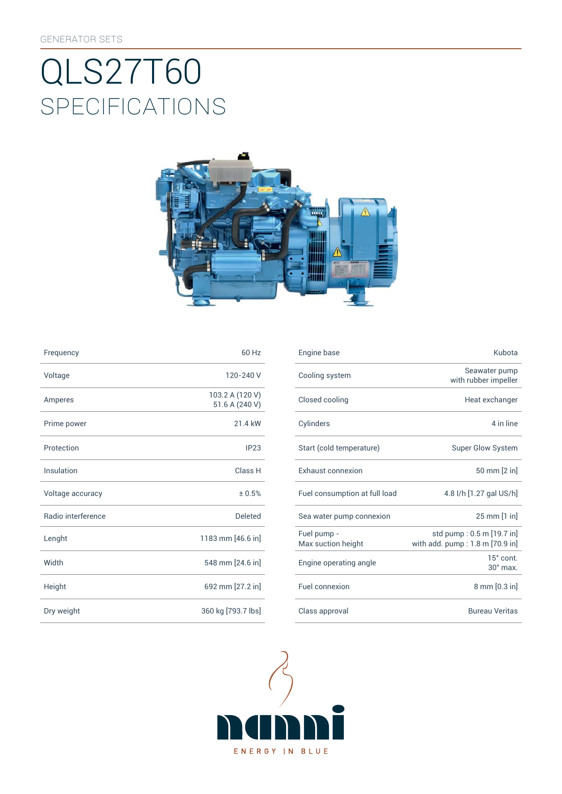# SpEcificATiONS QLS27T60



| Frequency          | 60 Hz                             | Engine base                |
|--------------------|-----------------------------------|----------------------------|
| Voltage            | 120-240 V                         | Cooling syst               |
| Amperes            | 103.2 A (120 V)<br>51.6 A (240 V) | Closed cooli               |
| Prime power        | 21.4 kW                           | Cylinders                  |
| Protection         | IP23                              | Start (cold te             |
| Insulation         | Class H                           | Exhaust con                |
| Voltage accuracy   | ± 0.5%                            | Fuel consum                |
| Radio interference | <b>Deleted</b>                    | Sea water pu               |
| Lenght             | 1183 mm [46.6 in]                 | Fuel pump -<br>Max suction |
| Width              | 548 mm [24.6 in]                  | Engine opera               |
| Height             | 692 mm [27.2 in]                  | Fuel connexi               |
| Dry weight         | 360 kg [793.7 lbs]                | Class approv               |

| Frequency          | 60 Hz                             | Engine base                       | Kubota                                                       |
|--------------------|-----------------------------------|-----------------------------------|--------------------------------------------------------------|
| Voltage            | 120-240 V                         | Cooling system                    | Seawater pump<br>with rubber impeller                        |
| Amperes            | 103.2 A (120 V)<br>51.6 A (240 V) | Closed cooling                    | Heat exchanger                                               |
| Prime power        | 21.4 kW                           | Cylinders                         | 4 in line                                                    |
| Protection         | IP23                              | Start (cold temperature)          | Super Glow System                                            |
| Insulation         | Class H                           | Exhaust connexion                 | 50 mm [2 in]                                                 |
| Voltage accuracy   | ± 0.5%                            | Fuel consumption at full load     | 4.8 l/h [1.27 gal US/h]                                      |
| Radio interference | <b>Deleted</b>                    | Sea water pump connexion          | 25 mm [1 in]                                                 |
| Lenght             | 1183 mm [46.6 in]                 | Fuel pump -<br>Max suction height | std pump: 0.5 m [19.7 in]<br>with add. pump: 1.8 m [70.9 in] |
| Width              | 548 mm [24.6 in]                  | Engine operating angle            | 15° cont.<br>$30^\circ$ max.                                 |
| Height             | 692 mm [27.2 in]                  | Fuel connexion                    | 8 mm [0.3 in]                                                |
| Dry weight         | 360 kg [793.7 lbs]                | Class approval                    | <b>Bureau Veritas</b>                                        |